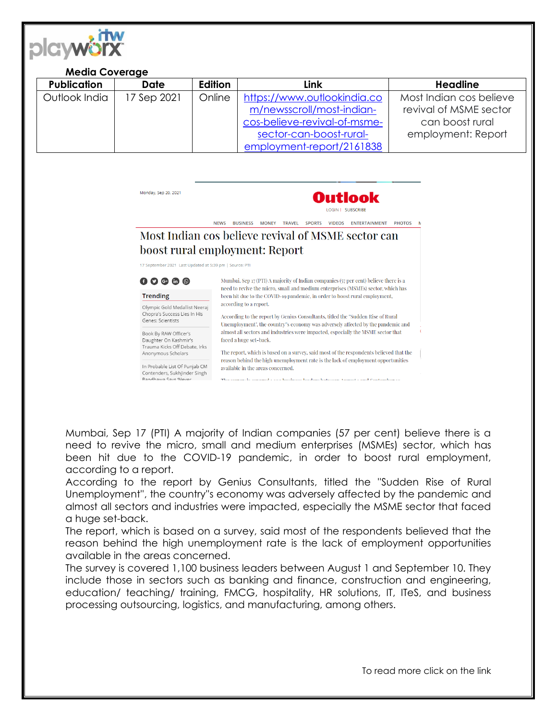

## **Media Coverage**

| <b>Publication</b> | <b>Date</b> | Edition | Link                         | <b>Headline</b>         |
|--------------------|-------------|---------|------------------------------|-------------------------|
| Outlook India      | 17 Sep 2021 | Online  | https://www.outlookindia.co  | Most Indian cos believe |
|                    |             |         | m/newsscroll/most-indian-    | revival of MSME sector  |
|                    |             |         | cos-believe-revival-of-msme- | can boost rural         |
|                    |             |         | sector-can-boost-rural-      | employment: Report      |
|                    |             |         | employment-report/2161838    |                         |

Monday, Sep 20, 2021



NEWS BUSINESS MONEY TRAVEL SPORTS VIDEOS ENTERTAINMENT PHOTOS M

## Most Indian cos believe revival of MSME sector can boost rural employment: Report

17 September 2021 Last Updated at 5:39 pm | Source: PTI

| 000000<br><b>Trending</b>                                                          | need to revive the micro, small and medium enterprises (MSMEs) sector, which has<br>been hit due to the COVID-19 pandemic, in order to boost rural employment,                                                  |  |  |
|------------------------------------------------------------------------------------|-----------------------------------------------------------------------------------------------------------------------------------------------------------------------------------------------------------------|--|--|
| Olympic Gold Medallist Neeraj<br>Chopra's Success Lies In His<br>Genes: Scientists | according to a report.<br>According to the report by Genius Consultants, titled the "Sudden Rise of Rural<br>Unemployment", the country"s economy was adversely affected by the pandemic and                    |  |  |
| Book By RAW Officer's<br>Daughter On Kashmir's<br>Trauma Kicks Off Debate, Irks    | almost all sectors and industries were impacted, especially the MSME sector that<br>faced a huge set-back.                                                                                                      |  |  |
| Anonymous Scholars<br>In Probable List Of Punjab CM                                | The report, which is based on a survey, said most of the respondents believed that the<br>reason behind the high unemployment rate is the lack of employment opportunities<br>available in the areas concerned. |  |  |
| Contenders, Sukhjinder Singh<br>Randhawa Save 'Never                               | The aument is account - can business loadens between August - and Cantomber - o                                                                                                                                 |  |  |

Mumbai, Sep 17 (PTI) A majority of Indian companies (57 per cent) believe there is a need to revive the micro, small and medium enterprises (MSMEs) sector, which has been hit due to the COVID-19 pandemic, in order to boost rural employment, according to a report.

According to the report by Genius Consultants, titled the ''Sudden Rise of Rural Unemployment'', the country''s economy was adversely affected by the pandemic and almost all sectors and industries were impacted, especially the MSME sector that faced a huge set-back.

The report, which is based on a survey, said most of the respondents believed that the reason behind the high unemployment rate is the lack of employment opportunities available in the areas concerned.

The survey is covered 1,100 business leaders between August 1 and September 10. They include those in sectors such as banking and finance, construction and engineering, education/ teaching/ training, FMCG, hospitality, HR solutions, IT, ITeS, and business processing outsourcing, logistics, and manufacturing, among others.

To read more click on the link